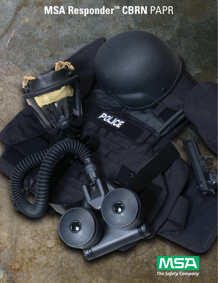# **MSA Responder™ CBRN** PAPR

POLICE

බ

 $\bigodot$ 

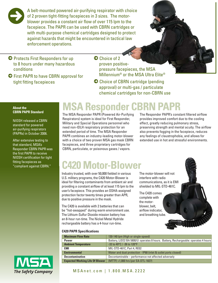

A belt-mounted powered air-purifying respirator with choice of 2 proven tight-fitting facepieces in 3 sizes. The motorblower provides a constant air flow of over 115 lpm to the facepiece. The PAPR can be used with CBRN cartridges or with multi-purpose chemical cartridges designed to protect against hazards that might be encountered in tactical law enforcement operations.

- $\Theta$  Protects First Responders for up to 8 hours under many hazardous conditions
- 5 First PAPR to have CBRN approval for tight fitting facepieces

 $\bullet$  Choice of 2 proven positivepressure facepieces, the MSA Millennium® or the MSA Ultra Elite®

 $\bullet$  Choice of CBRN cartridge (pending approval) or multi-gas / particulate chemical cartridges for non-CBRN use

### **About the CBRN PAPR Standard**

NIOSH released a CBRN standard for powered air-purifying respirators (PAPRs) in October 2006.

After extensive testing to that standard, MSA's Responder CBRN PAPR was the first PAPR to receive NIOSH certification for tight fitting facepieces as "compliant against CBRN."

## **MSA Responder CBRN PAPR**

The MSA Responder PAPR (Powered Air-Purifying Respirators) system is ideal for First Responder, Military and Special Operations personnel who need non-IDLH respiratory protection for an extended period of time. The MSA Responder PAPR combines an industry-leading motor-blower with a choice of two proven MSA gas mask CBRN facepieces, and three proprietary cartridges for CBRN, particulate, or poisonous gases / vapors.

The Responder PAPR's constant filtered airflow provides improved comfort due to the cooling effect, greatly reducing pulmonary stress, preserving strength and mental acuity. The airflow also prevents fogging in the facepiece, reduces any feelings of claustrophobia, and allows for extended use in hot and stressful environments.

## **C420 Motor-Blower**

Industry trusted, with over 50,000 fielded in various U.S. military programs, the C420 Motor-Blower is ideal for filtering contaminants from ambient air and providing a constant airflow of at least 115 lpm to the user's facepiece. This provides an OSHA-assigned protection factor twenty times greater than APR, due to positive pressure in the mask.

The C420 is available with 2 batteries that can be "hot-swapped" during warm environment use. The Lithium-Sulfur Dioxide mission battery has an 8-hour run-time. The Nickel Metal Hydride rechargeable battery has a 4-hour run-time.

The motor-blower will not interfere with radio communications, as it is EMI shielded to MIL-STD-461C.

The C420 comes complete with the motorblower, belt, airflow indicator, and breathing tube.



| <b>Maximum Flow Rate</b>               | 130-140 lpm (High or single-speed)                                                  |
|----------------------------------------|-------------------------------------------------------------------------------------|
| <b>Power</b>                           | Battery, LiSO2 BA 5800/U: operates 8 hours. Battery, Rechargeable: operates 4 hours |
| <b>Ambient Temperature</b>             | -32 to 49 $^{\circ}$ C / -26 to 120 $^{\circ}$ F                                    |
| <b>EMI</b>                             | MIL-STD-461C, Part 4, RE02                                                          |
| <b>Environmental</b>                   | Water and dust protection - IP68 (inlet & outlet ports closed)                      |
| <b>Decontamination</b>                 | Decontaminable – performance not affected adversely                                 |
| <b>Expected Working Life Of Blower</b> | $(MTTF) > 1,000$ hrs (per EA-DTL-1827)                                              |



### MSAnet.com | 1.800.MSA.2222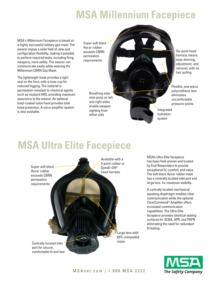## **MSA Millennium Facepiece**

MSA's Millennium Facepiece is based on a highly successful military gas mask. The wearer enjoys a wide field of view and configuration flexibility, making it possible to perform required tasks, including firing weapons, more safely. The wearer can communicate easily while wearing the Millennium CBRN Gas Mask.

The lightweight mask provides a tight seal on the face, with a nose cup for reduced fogging. The material is permeation-resistant to chemical agents such as mustard (HD), providing maximum assurance to the wearer. An optional butyl-coated nylon hood provides total head protection. A voice amplifier system is also available.

Super-soft black Hycar rubber exceeds CBRN permeation requirements

> Breathing tube inlet ports on left and right sides enable weapon sighting from either side

Six-point head harness means easy donning, adjustment, and removal, with no hair pulling

Flexible, one-piece polyurethane lens eliminates uncomfortable pressure points

Integrated hydration system

## **MSA Ultra Elite Facepiece**



MSA's Ultra Elite facepiece has been field-proven and trusted by First Responders to provide exceptional fit, comfort, and value. The soft black Hycar rubber mask has a centrally located inlet port and large lens for maximum visibility.

A centrally located mechanical speaking diaphragm enables clear communication while the optional ClearCommand® Amplifier offers increased communication capabilities. The Ultra Elite facepiece provides identical sealing surfaces for SCBA, APR, and PAPR, eliminating the need for redundant fit testing.

**The Safety Company**